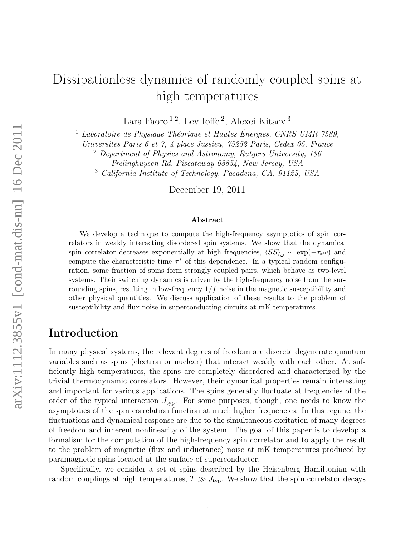# Dissipationless dynamics of randomly coupled spins at high temperatures

Lara Faoro<sup>1,2</sup>, Lev Ioffe<sup>2</sup>, Alexei Kitaev<sup>3</sup>

<sup>1</sup> Laboratoire de Physique Théorique et Hautes Énergies, CNRS UMR 7589,

Universités Paris 6 et 7, 4 place Jussieu, 75252 Paris, Cedex 05, France

<sup>2</sup> Department of Physics and Astronomy, Rutgers University, 136

Frelinghuysen Rd, Piscataway 08854, New Jersey, USA

<sup>3</sup> California Institute of Technology, Pasadena, CA, 91125, USA

December 19, 2011

#### Abstract

We develop a technique to compute the high-frequency asymptotics of spin correlators in weakly interacting disordered spin systems. We show that the dynamical spin correlator decreases exponentially at high frequencies,  $\langle SS \rangle_{\omega} \sim \exp(-\tau_* \omega)$  and compute the characteristic time  $\tau^*$  of this dependence. In a typical random configuration, some fraction of spins form strongly coupled pairs, which behave as two-level systems. Their switching dynamics is driven by the high-frequency noise from the surrounding spins, resulting in low-frequency  $1/f$  noise in the magnetic susceptibility and other physical quantities. We discuss application of these results to the problem of susceptibility and flux noise in superconducting circuits at mK temperatures.

## Introduction

In many physical systems, the relevant degrees of freedom are discrete degenerate quantum variables such as spins (electron or nuclear) that interact weakly with each other. At sufficiently high temperatures, the spins are completely disordered and characterized by the trivial thermodynamic correlators. However, their dynamical properties remain interesting and important for various applications. The spins generally fluctuate at frequencies of the order of the typical interaction  $J_{\text{typ}}$ . For some purposes, though, one needs to know the asymptotics of the spin correlation function at much higher frequencies. In this regime, the fluctuations and dynamical response are due to the simultaneous excitation of many degrees of freedom and inherent nonlinearity of the system. The goal of this paper is to develop a formalism for the computation of the high-frequency spin correlator and to apply the result to the problem of magnetic (flux and inductance) noise at mK temperatures produced by paramagnetic spins located at the surface of superconductor.

Specifically, we consider a set of spins described by the Heisenberg Hamiltonian with random couplings at high temperatures,  $T \gg J_{\text{typ}}$ . We show that the spin correlator decays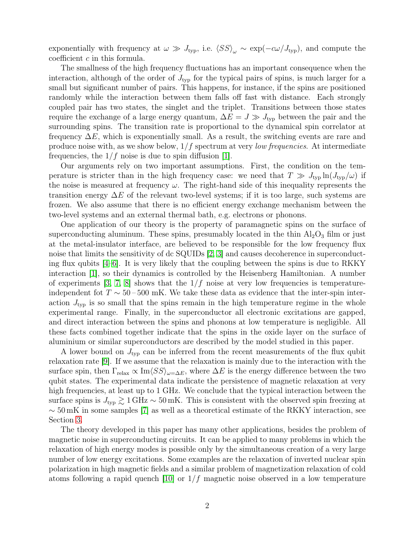exponentially with frequency at  $\omega \gg J_{\text{typ}}$ , i.e.  $\langle SS \rangle_{\omega} \sim \exp(-c\omega/J_{\text{typ}})$ , and compute the coefficient c in this formula.

The smallness of the high frequency fluctuations has an important consequence when the interaction, although of the order of  $J_{\text{typ}}$  for the typical pairs of spins, is much larger for a small but significant number of pairs. This happens, for instance, if the spins are positioned randomly while the interaction between them falls off fast with distance. Each strongly coupled pair has two states, the singlet and the triplet. Transitions between those states require the exchange of a large energy quantum,  $\Delta E = J \gg J_{\text{typ}}$  between the pair and the surrounding spins. The transition rate is proportional to the dynamical spin correlator at frequency  $\Delta E$ , which is exponentially small. As a result, the switching events are rare and produce noise with, as we show below,  $1/f$  spectrum at very *low frequencies*. At intermediate frequencies, the  $1/f$  noise is due to spin diffusion [\[1\]](#page-9-0).

Our arguments rely on two important assumptions. First, the condition on the temperature is stricter than in the high frequency case: we need that  $T \gg J_{\text{typ}} \ln(J_{\text{typ}}/\omega)$  if the noise is measured at frequency  $\omega$ . The right-hand side of this inequality represents the transition energy  $\Delta E$  of the relevant two-level systems; if it is too large, such systems are frozen. We also assume that there is no efficient energy exchange mechanism between the two-level systems and an external thermal bath, e.g. electrons or phonons.

One application of our theory is the property of paramagnetic spins on the surface of superconducting aluminum. These spins, presumably located in the thin  $Al_2O_3$  film or just at the metal-insulator interface, are believed to be responsible for the low frequency flux noise that limits the sensitivity of dc SQUIDs [\[2,](#page-9-1) [3\]](#page-9-2) and causes decoherence in superconducting flux qubits [\[4–](#page-9-3)[6\]](#page-9-4). It is very likely that the coupling between the spins is due to RKKY interaction [\[1\]](#page-9-0), so their dynamics is controlled by the Heisenberg Hamiltonian. A number of experiments [\[3,](#page-9-2) [7,](#page-9-5) [8\]](#page-9-6) shows that the  $1/f$  noise at very low frequencies is temperatureindependent fot  $T \sim 50 - 500$  mK. We take these data as evidence that the inter-spin interaction  $J_{\text{typ}}$  is so small that the spins remain in the high temperature regime in the whole experimental range. Finally, in the superconductor all electronic excitations are gapped, and direct interaction between the spins and phonons at low temperature is negligible. All these facts combined together indicate that the spins in the oxide layer on the surface of aluminium or similar superconductors are described by the model studied in this paper.

A lower bound on  $J_{\text{typ}}$  can be inferred from the recent measurements of the flux qubit relaxation rate [\[9\]](#page-9-7). If we assume that the relaxation is mainly due to the interaction with the surface spin, then  $\Gamma_{\text{relax}} \propto \text{Im}\langle SS \rangle_{\omega=\Delta E}$ , where  $\Delta E$  is the energy difference between the two qubit states. The experimental data indicate the persistence of magnetic relaxation at very high frequencies, at least up to 1 GHz. We conclude that the typical interaction between the surface spins is  $J_{\text{typ}} \gtrsim 1 \text{ GHz} \sim 50 \text{ mK}$ . This is consistent with the observed spin freezing at  $\sim$  50 mK in some samples [\[7\]](#page-9-5) as well as a theoretical estimate of the RKKY interaction, see Section [3.](#page-7-0)

The theory developed in this paper has many other applications, besides the problem of magnetic noise in superconducting circuits. It can be applied to many problems in which the relaxation of high energy modes is possible only by the simultaneous creation of a very large number of low energy excitations. Some examples are the relaxation of inverted nuclear spin polarization in high magnetic fields and a similar problem of magnetization relaxation of cold atoms following a rapid quench [\[10\]](#page-9-8) or  $1/f$  magnetic noise observed in a low temperature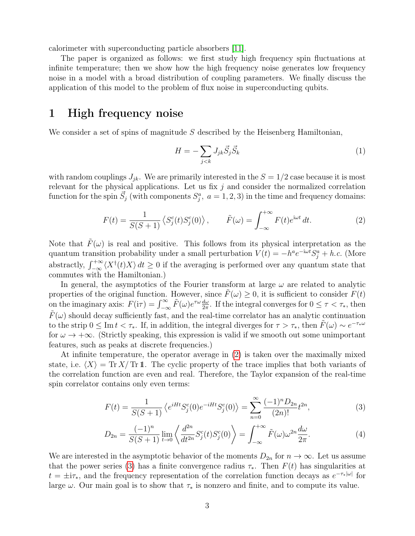calorimeter with superconducting particle absorbers [\[11\]](#page-9-9).

The paper is organized as follows: we first study high frequency spin fluctuations at infinite temperature; then we show how the high frequency noise generates low frequency noise in a model with a broad distribution of coupling parameters. We finally discuss the application of this model to the problem of flux noise in superconducting qubits.

### 1 High frequency noise

We consider a set of spins of magnitude  $S$  described by the Heisenberg Hamiltonian,

$$
H = -\sum_{j < k} J_{jk} \vec{S}_j \vec{S}_k \tag{1}
$$

with random couplings  $J_{jk}$ . We are primarily interested in the  $S = 1/2$  case because it is most relevant for the physical applications. Let us fix  $j$  and consider the normalized correlation function for the spin  $\vec{S}_j$  (with components  $S_j^a$ ,  $a = 1, 2, 3$ ) in the time and frequency domains:

<span id="page-2-0"></span>
$$
F(t) = \frac{1}{S(S+1)} \left\langle S_j^c(t) S_j^c(0) \right\rangle, \qquad \tilde{F}(\omega) = \int_{-\infty}^{+\infty} F(t) e^{i\omega t} dt. \tag{2}
$$

Note that  $F(\omega)$  is real and positive. This follows from its physical interpretation as the quantum transition probability under a small perturbation  $V(t) = -h^a e^{-i\omega t} S_j^a + h.c.$  (More abstractly,  $\int_{-\infty}^{+\infty} \langle X^{\dagger}(t)X \rangle dt \geq 0$  if the averaging is performed over any quantum state that commutes with the Hamiltonian.)

In general, the asymptotics of the Fourier transform at large  $\omega$  are related to analytic properties of the original function. However, since  $F(\omega) \geq 0$ , it is sufficient to consider  $F(t)$ on the imaginary axis:  $F(i\tau) = \int_{-\infty}^{\infty} \tilde{F}(\omega) e^{\tau \omega} \frac{d\omega}{2\pi}$  $\frac{d\omega}{2\pi}$ . If the integral converges for  $0 \leq \tau < \tau_*$ , then  $F(\omega)$  should decay sufficiently fast, and the real-time correlator has an analytic continuation to the strip  $0 \leq \text{Im } t < \tau_*$ . If, in addition, the integral diverges for  $\tau > \tau_*$ , then  $\tilde{F}(\omega) \sim e^{-\tau_* \omega}$ for  $\omega \to +\infty$ . (Strictly speaking, this expression is valid if we smooth out some unimportant features, such as peaks at discrete frequencies.)

At infinite temperature, the operator average in [\(2\)](#page-2-0) is taken over the maximally mixed state, i.e.  $\langle X \rangle = \text{Tr } X/\text{Tr } \mathbb{1}$ . The cyclic property of the trace implies that both variants of the correlation function are even and real. Therefore, the Taylor expansion of the real-time spin correlator contains only even terms:

<span id="page-2-1"></span>
$$
F(t) = \frac{1}{S(S+1)} \left\langle e^{iHt} S_j^c(0) e^{-iHt} S_j^c(0) \right\rangle = \sum_{n=0}^{\infty} \frac{(-1)^n D_{2n}}{(2n)!} t^{2n},\tag{3}
$$

<span id="page-2-2"></span>
$$
D_{2n} = \frac{(-1)^n}{S(S+1)} \lim_{t \to 0} \left\langle \frac{d^{2n}}{dt^{2n}} S_j^c(t) S_j^c(0) \right\rangle = \int_{-\infty}^{+\infty} \tilde{F}(\omega) \omega^{2n} \frac{d\omega}{2\pi}.
$$
 (4)

We are interested in the asymptotic behavior of the moments  $D_{2n}$  for  $n \to \infty$ . Let us assume that the power series [\(3\)](#page-2-1) has a finite convergence radius  $\tau_*$ . Then  $F(t)$  has singularities at  $t = \pm i\tau_*,$  and the frequency representation of the correlation function decays as  $e^{-\tau_*|\omega|}$  for large  $\omega$ . Our main goal is to show that  $\tau_*$  is nonzero and finite, and to compute its value.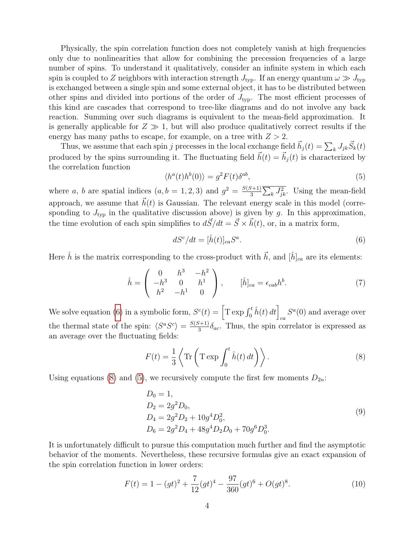Physically, the spin correlation function does not completely vanish at high frequencies only due to nonlinearities that allow for combining the precession frequencies of a large number of spins. To understand it qualitatively, consider an infinite system in which each spin is coupled to Z neighbors with interaction strength  $J_{\text{tvo}}$ . If an energy quantum  $\omega \gg J_{\text{tvo}}$ is exchanged between a single spin and some external object, it has to be distributed between other spins and divided into portions of the order of  $J_{\text{typ}}$ . The most efficient processes of this kind are cascades that correspond to tree-like diagrams and do not involve any back reaction. Summing over such diagrams is equivalent to the mean-field approximation. It is generally applicable for  $Z \gg 1$ , but will also produce qualitatively correct results if the energy has many paths to escape, for example, on a tree with  $Z > 2$ .

Thus, we assume that each spin j precesses in the local exchange field  $\vec{h}_j(t) = \sum_k J_{jk} \vec{S}_k(t)$ produced by the spins surrounding it. The fluctuating field  $\vec{h}(t) = \vec{h}_i(t)$  is characterized by the correlation function

<span id="page-3-2"></span>
$$
\langle h^a(t)h^b(0)\rangle = g^2 F(t)\delta^{ab},\tag{5}
$$

where a, b are spatial indices  $(a, b = 1, 2, 3)$  and  $g^2 = \frac{S(S+1)}{3}$  $\frac{J+1}{3}\sum_{k}J_{jk}^{2}$ . Using the mean-field approach, we assume that  $\vec{h}(t)$  is Gaussian. The relevant energy scale in this model (corresponding to  $J_{\text{typ}}$  in the qualitative discussion above) is given by g. In this approximation, the time evolution of each spin simplifies to  $d\vec{S}/dt = \vec{S} \times \vec{h}(t)$ , or, in a matrix form,

<span id="page-3-0"></span>
$$
dS^{c}/dt = [\hat{h}(t)]_{ca}S^{a}.
$$
\n(6)

Here  $\hat{h}$  is the matrix corresponding to the cross-product with  $\vec{h}$ , and  $[\hat{h}]_{ca}$  are its elements:

$$
\hat{h} = \begin{pmatrix} 0 & h^3 & -h^2 \\ -h^3 & 0 & h^1 \\ h^2 & -h^1 & 0 \end{pmatrix}, \qquad [\hat{h}]_{ca} = \epsilon_{cab} h^b.
$$
 (7)

We solve equation [\(6\)](#page-3-0) in a symbolic form,  $S^{c}(t) = \left[{\rm T}\exp\int_0^t \hat{h}(t) dt\right]_{ca} S^{a}(0)$  and average over the thermal state of the spin:  $\langle S^a S^c \rangle = \frac{S(S+1)}{3}$  $\frac{S^{(n+1)}}{S^3}\delta_{ac}$ . Thus, the spin correlator is expressed as an average over the fluctuating fields:

<span id="page-3-1"></span>
$$
F(t) = \frac{1}{3} \left\langle \text{Tr} \left( \text{T} \exp \int_0^t \hat{h}(t) dt \right) \right\rangle.
$$
 (8)

Using equations [\(8\)](#page-3-1) and [\(5\)](#page-3-2), we recursively compute the first few moments  $D_{2n}$ :

<span id="page-3-3"></span>
$$
D_0 = 1,
$$
  
\n
$$
D_2 = 2g^2 D_0,
$$
  
\n
$$
D_4 = 2g^2 D_2 + 10g^4 D_0^2,
$$
  
\n
$$
D_6 = 2g^2 D_4 + 48g^4 D_2 D_0 + 70g^6 D_0^3.
$$
\n(9)

It is unfortunately difficult to pursue this computation much further and find the asymptotic behavior of the moments. Nevertheless, these recursive formulas give an exact expansion of the spin correlation function in lower orders:

<span id="page-3-4"></span>
$$
F(t) = 1 - (gt)^{2} + \frac{7}{12}(gt)^{4} - \frac{97}{360}(gt)^{6} + O(gt)^{8}.
$$
 (10)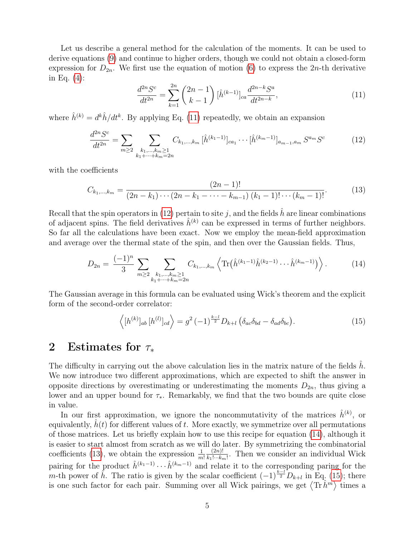Let us describe a general method for the calculation of the moments. It can be used to derive equations [\(9\)](#page-3-3) and continue to higher orders, though we could not obtain a closed-form expression for  $D_{2n}$ . We first use the equation of motion [\(6\)](#page-3-0) to express the  $2n$ -th derivative in Eq. [\(4\)](#page-2-2):

<span id="page-4-0"></span>
$$
\frac{d^{2n}S^c}{dt^{2n}} = \sum_{k=1}^{2n} \binom{2n-1}{k-1} \left[\hat{h}^{(k-1)}\right]_{ca} \frac{d^{2n-k}S^a}{dt^{2n-k}},\tag{11}
$$

where  $\hat{h}^{(k)} = d^k \hat{h} / dt^k$ . By applying Eq. [\(11\)](#page-4-0) repeatedly, we obtain an expansion

<span id="page-4-1"></span>
$$
\frac{d^{2n}S^{c}}{dt^{2n}} = \sum_{m\geq 2} \sum_{\substack{k_1,\dots,k_m\geq 1\\k_1+\dots+k_m=2n}} C_{k_1,\dots,k_m} \left[\hat{h}^{(k_1-1)}\right]_{ca_1} \cdots \left[\hat{h}^{(k_m-1)}\right]_{a_{m-1},a_m} S^{a_m} S^c \tag{12}
$$

with the coefficients

<span id="page-4-3"></span>
$$
C_{k_1,\dots,k_m} = \frac{(2n-1)!}{(2n-k_1)\cdots(2n-k_1-\cdots-k_{m-1})\,(k_1-1)!\cdots(k_m-1)!}.\tag{13}
$$

Recall that the spin operators in [\(12\)](#page-4-1) pertain to site j, and the fields  $\hat{h}$  are linear combinations of adjacent spins. The field derivatives  $\hat{h}^{(k)}$  can be expressed in terms of further neighbors. So far all the calculations have been exact. Now we employ the mean-field approximation and average over the thermal state of the spin, and then over the Gaussian fields. Thus,

<span id="page-4-2"></span>
$$
D_{2n} = \frac{(-1)^n}{3} \sum_{m \ge 2} \sum_{\substack{k_1, \dots, k_m \ge 1 \\ k_1 + \dots + k_m = 2n}} C_{k_1, \dots, k_m} \left\langle \text{Tr} \left( \hat{h}^{(k_1 - 1)} \hat{h}^{(k_2 - 1)} \dots \hat{h}^{(k_m - 1)} \right) \right\rangle. \tag{14}
$$

The Gaussian average in this formula can be evaluated using Wick's theorem and the explicit form of the second-order correlator:

<span id="page-4-4"></span>
$$
\langle [h^{(k)}]_{ab} [h^{(l)}]_{cd} \rangle = g^2 (-1)^{\frac{k-l}{2}} D_{k+l} \left( \delta_{ac} \delta_{bd} - \delta_{ad} \delta_{bc} \right).
$$
 (15)

#### 2 Estimates for  $\tau_*$

The difficulty in carrying out the above calculation lies in the matrix nature of the fields h. We now introduce two different approximations, which are expected to shift the answer in opposite directions by overestimating or underestimating the moments  $D_{2n}$ , thus giving a lower and an upper bound for  $\tau_*$ . Remarkably, we find that the two bounds are quite close in value.

In our first approximation, we ignore the noncommutativity of the matrices  $\hat{h}^{(k)}$ , or equivalently,  $h(t)$  for different values of t. More exactly, we symmetrize over all permutations of those matrices. Let us briefly explain how to use this recipe for equation [\(14\)](#page-4-2), although it is easier to start almost from scratch as we will do later. By symmetrizing the combinatorial coefficients [\(13\)](#page-4-3), we obtain the expression  $\frac{1}{m!}$  $(2n)!$  $\frac{(2n)!}{k_1! \cdots k_m!}$ . Then we consider an individual Wick pairing for the product  $\hat{h}^{(k_1-1)} \cdots \hat{h}^{(k_m-1)}$  and relate it to the corresponding paring for the m-th power of  $\hat{h}$ . The ratio is given by the scalar coefficient  $(-1)^{\frac{k-l}{2}}D_{k+l}$  in Eq. [\(15\)](#page-4-4); there is one such factor for each pair. Summing over all Wick pairings, we get  $\langle \text{Tr} \hat{h}^m \rangle$  times a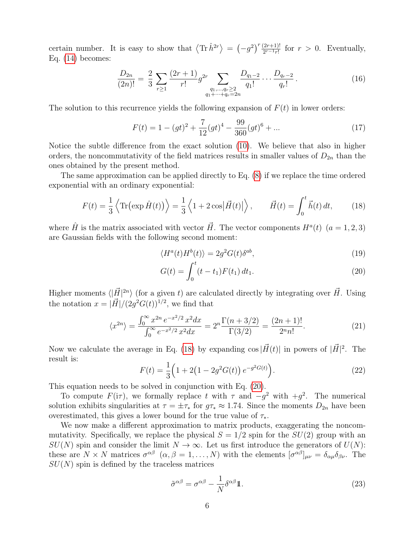certain number. It is easy to show that  $\langle \text{Tr} \hat{h}^{2r} \rangle = (-g^2)^r \frac{(2r+1)!}{2^{r-1}r!}$  for  $r > 0$ . Eventually, Eq.  $(14)$  becomes:

$$
\frac{D_{2n}}{(2n)!} = \frac{2}{3} \sum_{r \ge 1} \frac{(2r+1)}{r!} g^{2r} \sum_{\substack{q_1, \dots, q_r \ge 2 \\ q_1 + \dots + q_r = 2n}} \frac{D_{q_1-2}}{q_1!} \dots \frac{D_{q_r-2}}{q_r!} . \tag{16}
$$

The solution to this recurrence yields the following expansion of  $F(t)$  in lower orders:

$$
F(t) = 1 - (gt)^{2} + \frac{7}{12}(gt)^{4} - \frac{99}{360}(gt)^{6} + \dots
$$
\n(17)

Notice the subtle difference from the exact solution [\(10\)](#page-3-4). We believe that also in higher orders, the noncommutativity of the field matrices results in smaller values of  $D_{2n}$  than the ones obtained by the present method.

The same approximation can be applied directly to Eq. [\(8\)](#page-3-1) if we replace the time ordered exponential with an ordinary exponential:

<span id="page-5-0"></span>
$$
F(t) = \frac{1}{3} \left\langle \text{Tr} \left( \exp \hat{H}(t) \right) \right\rangle = \frac{1}{3} \left\langle 1 + 2 \cos \left| \vec{H}(t) \right| \right\rangle, \qquad \vec{H}(t) = \int_0^t \vec{h}(t) \, dt,\tag{18}
$$

where  $\hat{H}$  is the matrix associated with vector  $\vec{H}$ . The vector components  $H^{a}(t)$   $(a = 1, 2, 3)$ are Gaussian fields with the following second moment:

$$
\langle H^a(t)H^b(t)\rangle = 2g^2 G(t)\delta^{ab},\tag{19}
$$

<span id="page-5-1"></span>
$$
G(t) = \int_0^t (t - t_1) F(t_1) dt_1.
$$
\n(20)

Higher moments  $\langle |\vec{H}|^{2n} \rangle$  (for a given t) are calculated directly by integrating over  $\vec{H}$ . Using the notation  $x = |\vec{H}|/(2g^2 G(t))^{1/2}$ , we find that

$$
\langle x^{2n} \rangle = \frac{\int_0^\infty x^{2n} e^{-x^2/2} x^2 dx}{\int_0^\infty e^{-x^2/2} x^2 dx} = 2^n \frac{\Gamma(n+3/2)}{\Gamma(3/2)} = \frac{(2n+1)!}{2^n n!}.
$$
 (21)

Now we calculate the average in Eq. [\(18\)](#page-5-0) by expanding  $\cos|\vec{H}(t)|$  in powers of  $|\vec{H}|^2$ . The result is:

$$
F(t) = \frac{1}{3} \left( 1 + 2 \left( 1 - 2g^2 G(t) \right) e^{-g^2 G(t)} \right).
$$
 (22)

This equation needs to be solved in conjunction with Eq. [\(20\)](#page-5-1).

To compute  $F(i\tau)$ , we formally replace t with  $\tau$  and  $-g^2$  with  $+g^2$ . The numerical solution exhibits singularities at  $\tau = \pm \tau_*$  for  $q\tau_* \approx 1.74$ . Since the moments  $D_{2n}$  have been overestimated, this gives a lower bound for the true value of  $\tau_*$ .

We now make a different approximation to matrix products, exaggerating the noncommutativity. Specifically, we replace the physical  $S = 1/2$  spin for the  $SU(2)$  group with an  $SU(N)$  spin and consider the limit  $N \to \infty$ . Let us first introduce the generators of  $U(N)$ : these are  $N \times N$  matrices  $\sigma^{\alpha\beta}$   $(\alpha, \beta = 1, ..., N)$  with the elements  $[\sigma^{\alpha\beta}]_{\mu\nu} = \delta_{\alpha\mu}\delta_{\beta\nu}$ . The  $SU(N)$  spin is defined by the traceless matrices

<span id="page-5-2"></span>
$$
\tilde{\sigma}^{\alpha\beta} = \sigma^{\alpha\beta} - \frac{1}{N} \delta^{\alpha\beta} \mathbb{1}.
$$
\n(23)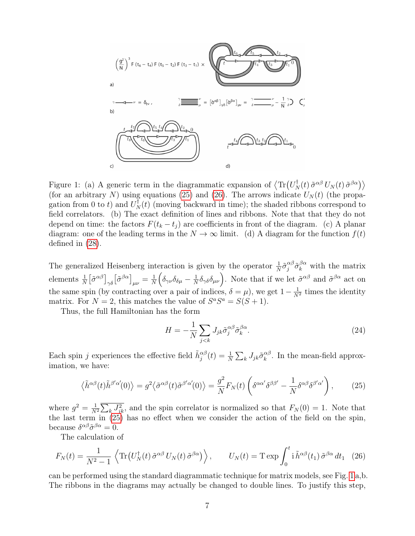

<span id="page-6-2"></span>Figure 1: (a) A generic term in the diagrammatic expansion of  $\langle \text{Tr}(U_N^{\dagger}(t) \tilde{\sigma}^{\alpha\beta} U_N(t) \tilde{\sigma}^{\beta\alpha}) \rangle$ (for an arbitrary N) using equations [\(25\)](#page-6-0) and [\(26\)](#page-6-1). The arrows indicate  $U_N(t)$  (the propagation from 0 to t) and  $U_N^{\dagger}(t)$  (moving backward in time); the shaded ribbons correspond to field correlators. (b) The exact definition of lines and ribbons. Note that that they do not depend on time: the factors  $F(t_k - t_j)$  are coefficients in front of the diagram. (c) A planar diagram: one of the leading terms in the  $N \to \infty$  limit. (d) A diagram for the function  $f(t)$ defined in [\(28\)](#page-7-1).

The generalized Heisenberg interaction is given by the operator  $\frac{1}{N}\tilde{\sigma}_j^{\alpha\beta}\tilde{\sigma}_k^{\beta\alpha}$  with the matrix elements  $\frac{1}{N} \left[ \tilde{\sigma}^{\alpha \beta} \right]_{\gamma \delta} \left[ \tilde{\sigma}^{\beta \alpha} \right]_{\mu \nu} = \frac{1}{N}$  $\frac{1}{N}\Big(\delta_{\gamma\nu}\delta_{\delta\mu}-\frac{1}{N}$  $\frac{1}{N} \delta_{\gamma\delta}\delta_{\mu\nu}$ . Note that if we let  $\tilde{\sigma}^{\alpha\beta}$  and  $\tilde{\sigma}^{\beta\alpha}$  act on the same spin (by contracting over a pair of indices,  $\delta = \mu$ ), we get  $1 - \frac{1}{N^2}$  times the identity matrix. For  $N = 2$ , this matches the value of  $S^a S^a = S(S + 1)$ .

Thus, the full Hamiltonian has the form

$$
H = -\frac{1}{N} \sum_{j < k} J_{jk} \tilde{\sigma}_j^{\alpha \beta} \tilde{\sigma}_k^{\beta \alpha}.
$$
\n
$$
\tag{24}
$$

Each spin j experiences the effective field  $\tilde{h}^{\alpha\beta}_j(t) = \frac{1}{N} \sum_k J_{jk} \tilde{\sigma}^{\alpha\beta}_k$  $\kappa^{\alpha\beta}$ . In the mean-field approximation, we have:

<span id="page-6-0"></span>
$$
\langle \tilde{h}^{\alpha\beta}(t)\tilde{h}^{\beta'\alpha'}(0)\rangle = g^2 \langle \tilde{\sigma}^{\alpha\beta}(t)\tilde{\sigma}^{\beta'\alpha'}(0)\rangle = \frac{g^2}{N}F_N(t)\left(\delta^{\alpha\alpha'}\delta^{\beta\beta'} - \frac{1}{N}\delta^{\alpha\beta}\delta^{\beta'\alpha'}\right),\tag{25}
$$

where  $g^2 = \frac{1}{N}$  $\frac{1}{N^2}\sum_k J_{jk}^2$ , and the spin correlator is normalized so that  $F_N(0) = 1$ . Note that the last term in  $(25)$  has no effect when we consider the action of the field on the spin, because  $\delta^{\alpha\beta}\tilde{\sigma}^{\beta\alpha} = 0$ .

The calculation of

<span id="page-6-1"></span>
$$
F_N(t) = \frac{1}{N^2 - 1} \left\langle \text{Tr} \left( U_N^{\dagger}(t) \, \tilde{\sigma}^{\alpha \beta} \, U_N(t) \, \tilde{\sigma}^{\beta \alpha} \right) \right\rangle, \qquad U_N(t) = \text{T} \exp \int_0^t \mathrm{i} \, \tilde{h}^{\alpha \beta}(t_1) \, \tilde{\sigma}^{\beta \alpha} \, dt_1 \tag{26}
$$

can be performed using the standard diagrammatic technique for matrix models, see Fig. [1](#page-6-2) a,b. The ribbons in the diagrams may actually be changed to double lines. To justify this step,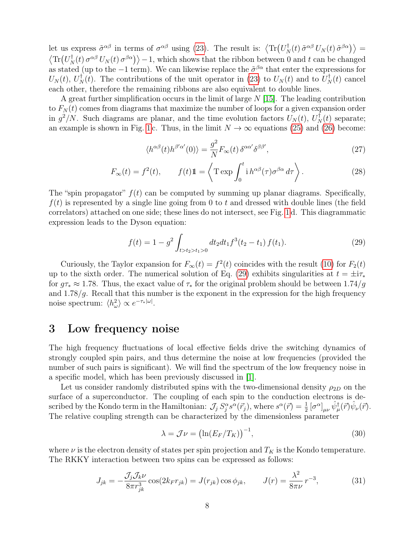let us express  $\tilde{\sigma}^{\alpha\beta}$  in terms of  $\sigma^{\alpha\beta}$  using [\(23\)](#page-5-2). The result is:  $\langle \text{Tr}(U_N^{\dagger}(t) \tilde{\sigma}^{\alpha\beta} U_N(t) \tilde{\sigma}^{\beta\alpha}) \rangle =$  $\langle \text{Tr}(U_N^{\dagger}(t) \sigma^{\alpha\beta} U_N(t) \sigma^{\beta\alpha} \rangle \rangle - 1$ , which shows that the ribbon between 0 and t can be changed as stated (up to the  $-1$  term). We can likewise replace the  $\tilde{\sigma}^{\beta\alpha}$  that enter the expressions for  $U_N(t)$ ,  $U_N^{\dagger}(t)$ . The contributions of the unit operator in [\(23\)](#page-5-2) to  $U_N(t)$  and to  $U_N^{\dagger}(t)$  cancel each other, therefore the remaining ribbons are also equivalent to double lines.

A great further simplification occurs in the limit of large  $N$  [\[15\]](#page-9-10). The leading contribution to  $F_N(t)$  comes from diagrams that maximize the number of loops for a given expansion order in  $g^2/N$ . Such diagrams are planar, and the time evolution factors  $U_N(t)$ ,  $U_N^{\dagger}(t)$  separate; an example is shown in Fig. [1](#page-6-2) c. Thus, in the limit  $N \to \infty$  equations [\(25\)](#page-6-0) and [\(26\)](#page-6-1) become:

<span id="page-7-1"></span>
$$
\langle h^{\alpha\beta}(t)h^{\beta'\alpha'}(0)\rangle = \frac{g^2}{N}F_{\infty}(t)\,\delta^{\alpha\alpha'}\delta^{\beta\beta'},\tag{27}
$$

$$
F_{\infty}(t) = f^{2}(t), \qquad f(t)\mathbb{1} = \left\langle \operatorname{T} \exp \int_{0}^{t} \mathrm{i} \, h^{\alpha\beta}(\tau) \sigma^{\beta\alpha} \, d\tau \right\rangle. \tag{28}
$$

The "spin propagator"  $f(t)$  can be computed by summing up planar diagrams. Specifically,  $f(t)$  is represented by a single line going from 0 to t and dressed with double lines (the field correlators) attached on one side; these lines do not intersect, see Fig. [1](#page-6-2) d. This diagrammatic expression leads to the Dyson equation:

<span id="page-7-2"></span>
$$
f(t) = 1 - g^2 \int_{t > t_2 > t_1 > 0} dt_2 dt_1 f^3(t_2 - t_1) f(t_1).
$$
 (29)

Curiously, the Taylor expansion for  $F_{\infty}(t) = f^{2}(t)$  coincides with the result [\(10\)](#page-3-4) for  $F_{2}(t)$ up to the sixth order. The numerical solution of Eq. [\(29\)](#page-7-2) exhibits singularities at  $t = \pm i\tau_*$ for  $g\tau_* \approx 1.78$ . Thus, the exact value of  $\tau_*$  for the original problem should be between  $1.74/g$ and  $1.78/g$ . Recall that this number is the exponent in the expression for the high frequency noise spectrum:  $\langle h_{\omega}^2 \rangle \propto e^{-\tau_*|\omega|}$ .

#### <span id="page-7-0"></span>3 Low frequency noise

The high frequency fluctuations of local effective fields drive the switching dynamics of strongly coupled spin pairs, and thus determine the noise at low frequencies (provided the number of such pairs is significant). We will find the spectrum of the low frequency noise in a specific model, which has been previously discussed in [\[1\]](#page-9-0).

Let us consider randomly distributed spins with the two-dimensional density  $\rho_{2D}$  on the surface of a superconductor. The coupling of each spin to the conduction electrons is described by the Kondo term in the Hamiltonian:  $\mathcal{J}_j S_j^{\alpha} s^{\alpha}(\vec{r}_j)$ , where  $s^{\alpha}(\vec{r}) = \frac{1}{2} [\sigma^{\alpha}]_{\mu\nu} \hat{\psi}^{\dagger}_{\mu}(\vec{r}) \hat{\psi}_{\nu}(\vec{r})$ . The relative coupling strength can be characterized by the dimensionless parameter

$$
\lambda = \mathcal{J}\nu = \left(\ln(E_F/T_K)\right)^{-1},\tag{30}
$$

where  $\nu$  is the electron density of states per spin projection and  $T_K$  is the Kondo temperature. The RKKY interaction between two spins can be expressed as follows:

$$
J_{jk} = -\frac{\mathcal{J}_j \mathcal{J}_k \nu}{8\pi r_{jk}^3} \cos(2k_F r_{jk}) = J(r_{jk}) \cos \phi_{jk}, \qquad J(r) = \frac{\lambda^2}{8\pi \nu} r^{-3}, \tag{31}
$$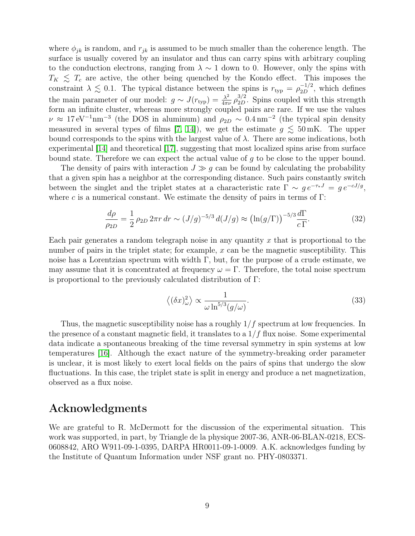where  $\phi_{jk}$  is random, and  $r_{jk}$  is assumed to be much smaller than the coherence length. The surface is usually covered by an insulator and thus can carry spins with arbitrary coupling to the conduction electrons, ranging from  $\lambda \sim 1$  down to 0. However, only the spins with  $T_K \leq T_c$  are active, the other being quenched by the Kondo effect. This imposes the constraint  $\lambda \lesssim 0.1$ . The typical distance between the spins is  $r_{\text{typ}} = \rho_{2D}^{-1/2}$ , which defines the main parameter of our model:  $g \sim J(r_{\rm typ}) = \frac{\lambda^2}{4\pi r}$  $\frac{\lambda^2}{4\pi\nu} \rho_{2D}^{3/2}$ . Spins coupled with this strength form an infinite cluster, whereas more strongly coupled pairs are rare. If we use the values  $\nu \approx 17 \,\text{eV}^{-1}\text{nm}^{-3}$  (the DOS in aluminum) and  $\rho_{2D} \sim 0.4 \,\text{nm}^{-2}$  (the typical spin density measured in several types of films [\[7,](#page-9-5) [14\]](#page-9-11)), we get the estimate  $g \lesssim 50$  mK. The upper bound corresponds to the spins with the largest value of  $\lambda$ . There are some indications, both experimental [\[14\]](#page-9-11) and theoretical [\[17\]](#page-9-12), suggesting that most localized spins arise from surface bound state. Therefore we can expect the actual value of g to be close to the upper bound.

The density of pairs with interaction  $J \gg g$  can be found by calculating the probability that a given spin has a neighbor at the corresponding distance. Such pairs constantly switch between the singlet and the triplet states at a characteristic rate  $\Gamma \sim g e^{-\tau_* J} = g e^{-cJ/g}$ , where c is a numerical constant. We estimate the density of pairs in terms of  $\Gamma$ :

$$
\frac{d\rho}{\rho_{2D}} = \frac{1}{2} \rho_{2D} 2\pi r \, dr \sim (J/g)^{-5/3} \, d(J/g) \approx \left(\ln(g/\Gamma)\right)^{-5/3} \frac{d\Gamma}{c\,\Gamma}.\tag{32}
$$

Each pair generates a random telegraph noise in any quantity  $x$  that is proportional to the number of pairs in the triplet state; for example, x can be the magnetic susceptibility. This noise has a Lorentzian spectrum with width Γ, but, for the purpose of a crude estimate, we may assume that it is concentrated at frequency  $\omega = \Gamma$ . Therefore, the total noise spectrum is proportional to the previously calculated distribution of Γ:

$$
\langle (\delta x)_{\omega}^{2} \rangle \propto \frac{1}{\omega \ln^{5/3}(g/\omega)}.
$$
\n(33)

Thus, the magnetic susceptibility noise has a roughly  $1/f$  spectrum at low frequencies. In the presence of a constant magnetic field, it translates to a  $1/f$  flux noise. Some experimental data indicate a spontaneous breaking of the time reversal symmetry in spin systems at low temperatures [\[16\]](#page-9-13). Although the exact nature of the symmetry-breaking order parameter is unclear, it is most likely to exert local fields on the pairs of spins that undergo the slow fluctuations. In this case, the triplet state is split in energy and produce a net magnetization, observed as a flux noise.

#### Acknowledgments

We are grateful to R. McDermott for the discussion of the experimental situation. This work was supported, in part, by Triangle de la physique 2007-36, ANR-06-BLAN-0218, ECS-0608842, ARO W911-09-1-0395, DARPA HR0011-09-1-0009. A.K. acknowledges funding by the Institute of Quantum Information under NSF grant no. PHY-0803371.